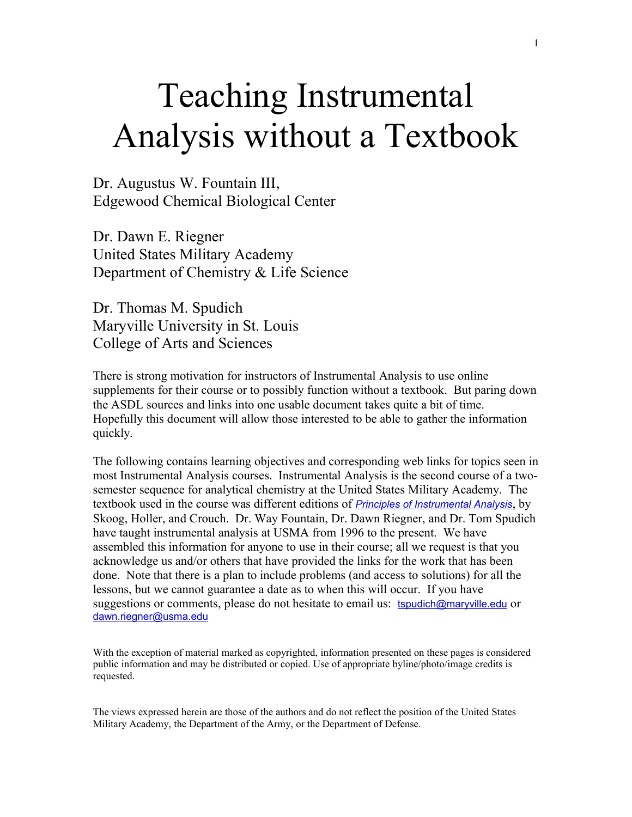# Teaching Instrumental Analysis without a Textbook

Dr. Augustus W. Fountain III, Edgewood Chemical Biological Center

Dr. Dawn E. Riegner United States Military Academy Department of Chemistry & Life Science

Dr. Thomas M. Spudich Maryville University in St. Louis College of Arts and Sciences

There is strong motivation for instructors of Instrumental Analysis to use online supplements for their course or to possibly function without a textbook. But paring down the ASDL sources and links into one usable document takes quite a bit of time. Hopefully this document will allow those interested to be able to gather the information quickly.

The following contains learning objectives and corresponding web links for topics seen in most Instrumental Analysis courses. Instrumental Analysis is the second course of a twosemester sequence for analytical chemistry at the United States Military Academy. The textbook used in the course was different editions of *[Principles of Instrumental Analysis](http://www.amazon.com/Principles-Instrumental-Analysis-Douglas-Skoog/dp/0495012017)*, by Skoog, Holler, and Crouch. Dr. Way Fountain, Dr. Dawn Riegner, and Dr. Tom Spudich have taught instrumental analysis at USMA from 1996 to the present. We have assembled this information for anyone to use in their course; all we request is that you acknowledge us and/or others that have provided the links for the work that has been done. Note that there is a plan to include problems (and access to solutions) for all the lessons, but we cannot guarantee a date as to when this will occur. If you have suggestions or comments, please do not hesitate to email us: [tspudich@maryville.edu](mailto:tspudich@maryville.edu) or [dawn.riegner@usma.edu](mailto:dawn.riegner@usma.edu)

With the exception of material marked as copyrighted, information presented on these pages is considered public information and may be distributed or copied. Use of appropriate byline/photo/image credits is requested.

The views expressed herein are those of the authors and do not reflect the position of the United States Military Academy, the Department of the Army, or the Department of Defense.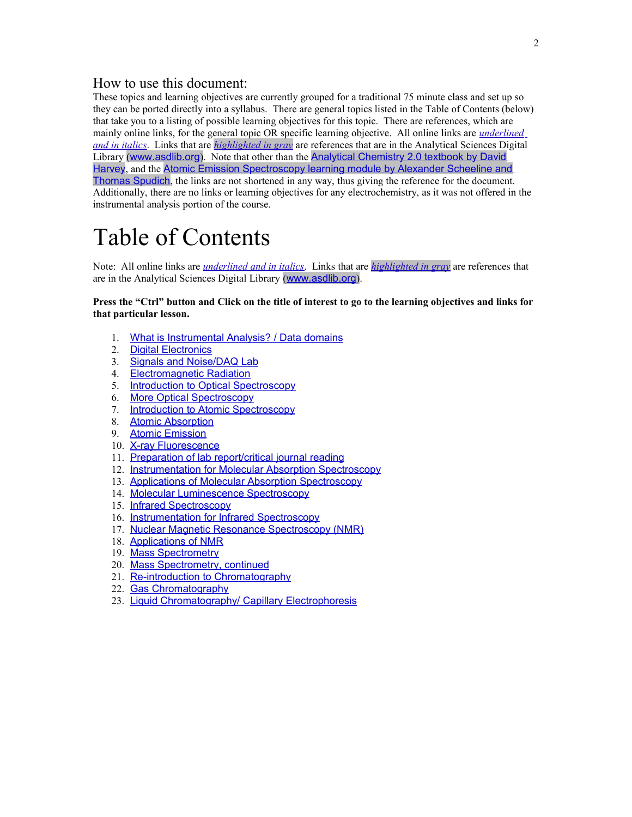# How to use this document:

These topics and learning objectives are currently grouped for a traditional 75 minute class and set up so they can be ported directly into a syllabus. There are general topics listed in the Table of Contents (below) that take you to a listing of possible learning objectives for this topic. There are references, which are mainly online links, for the general topic OR specific learning objective. All online links are *underlined and in italics*. Links that are *highlighted in gray* are references that are in the Analytical Sciences Digital Library ([www.asdlib.org](file:///C:/Users/Amy.KANU/AppData/Local/Microsoft/Windows/Temporary Internet Files/Documents and Settings/Alex/Local Settings/Temporary Internet Files/Content.Outlook/AppData/Local/Microsoft/Windows/Temporary Internet Files/Content.Outlook/AppData/Local/Microsoft/Windows/AppData/Local/Microsoft/Windows/Temporary Internet Files/Content.Outlook/SVXUPB0N/www.asdlib.org)). Note that other than the [Analytical Chemistry 2.0 textbook by David](http://www.asdlib.org/onlineArticles/ecourseware/Analytical%20Chemistry%202.0/Welcome.html) [Harvey](http://www.asdlib.org/onlineArticles/ecourseware/Analytical%20Chemistry%202.0/Welcome.html), and the [Atomic Emission Spectroscopy learning module by Alexander Scheeline and](http://www.asdlib.org/learningModules/AtomicEmission/index.html) [Thomas Spudich](http://www.asdlib.org/learningModules/AtomicEmission/index.html), the links are not shortened in any way, thus giving the reference for the document. Additionally, there are no links or learning objectives for any electrochemistry, as it was not offered in the instrumental analysis portion of the course.

# Table of Contents

Note: All online links are *underlined and in italics*. Links that are *highlighted in gray* are references that are in the Analytical Sciences Digital Library ([www.asdlib.org](file:///C:/Users/Amy.KANU/AppData/Local/Microsoft/Windows/Temporary Internet Files/Documents and Settings/Alex/Local Settings/Temporary Internet Files/Content.Outlook/AppData/Local/Microsoft/Windows/Temporary Internet Files/Content.Outlook/AppData/Local/Microsoft/Windows/AppData/Local/Microsoft/Windows/Temporary Internet Files/Content.Outlook/SVXUPB0N/www.asdlib.org)).

**Press the "Ctrl" button and Click on the title of interest to go to the learning objectives and links for that particular lesson.**

- 1. [What is Instrumental Analysis? / Data domains](#page-2-2)
- 2. [Digital Electronics](#page-2-1)
- 3. [Signals and Noise/DAQ Lab](#page-2-0)
- 4. [Electromagnetic Radiation](#page-3-1)
- 5. [Introduction to Optical Spectroscopy](#page-3-0)
- 6. [More Optical Spectroscopy](#page-4-3)
- 7. [Introduction to Atomic Spectroscopy](#page-4-2)
- 8. [Atomic Absorption](#page-4-1)
- 9. [Atomic Emission](#page-4-0)
- 10. [X-ray Fluorescence](#page-5-2)
- 11. [Preparation of lab report/critical journal reading](#page-5-1)
- 12. [Instrumentation for Molecular Absorption Spectroscopy](#page-5-0)
- 13. [Applications of Molecular Absorption Spectroscopy](#page-6-0)
- 14. [Molecular Luminescence Spectroscopy](#page-7-2)
- 15. [Infrared Spectroscopy](#page-7-1)
- 16. [Instrumentation for Infrared Spectroscopy](#page-7-0)
- 17. [Nuclear Magnetic Resonance Spectroscopy \(NMR\)](#page-8-0)
- 18. [Applications of NMR](#page-9-1)
- 19. [Mass Spectrometry](#page-9-0)
- 20. [Mass Spectrometry, continued](#page-10-1)
- 21. [Re-introduction to Chromatography](#page-10-0)
- 22. [Gas Chromatography](#page-11-1)
- 23. [Liquid Chromatography/ Capillary Electrophoresis](#page-11-0)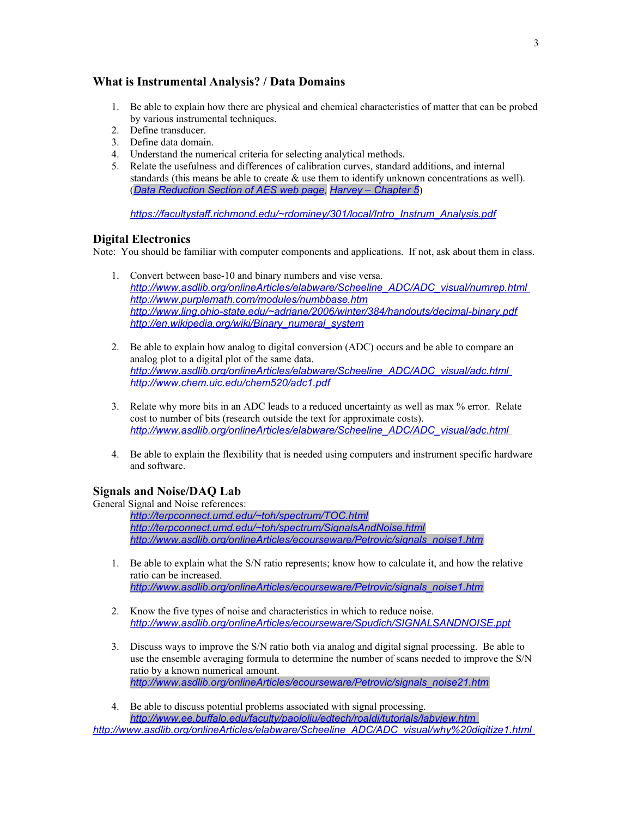# <span id="page-2-2"></span>**What is Instrumental Analysis? / Data Domains**

- 1. Be able to explain how there are physical and chemical characteristics of matter that can be probed by various instrumental techniques.
- 2. Define transducer.
- 3. Define data domain.
- 4. Understand the numerical criteria for selecting analytical methods.
- 5. Relate the usefulness and differences of calibration curves, standard additions, and internal standards (this means be able to create  $\&$  use them to identify unknown concentrations as well). (*[Data Reduction Section of AES web page](http://www.asdlib.org/learningModules/AtomicEmission/data-Introduction_&_Background_Substraction.html), [Harvey – Chapter 5](http://web.me.com/dtharvey1213/Analytical_Chemistry_2.0/Text_Files_files/Chapter5.pdf)*)

*[https://facultystaff.richmond.edu/~rdominey/301/local/Intro\\_Instrum\\_Analysis.pdf](https://facultystaff.richmond.edu/~rdominey/301/local/Intro_Instrum_Analysis.pdf)*

#### <span id="page-2-1"></span>**Digital Electronics**

Note: You should be familiar with computer components and applications. If not, ask about them in class.

- 1. Convert between base-10 and binary numbers and vise versa.  *[http://www.asdlib.org/onlineArticles/elabware/Scheeline\\_ADC/ADC\\_visual/numrep.html](http://www.asdlib.org/onlineArticles/elabware/Scheeline_ADC/ADC_visual/numrep.html) <http://www.purplemath.com/modules/numbbase.htm> <http://www.ling.ohio-state.edu/~adriane/2006/winter/384/handouts/decimal-binary.pdf> [http://en.wikipedia.org/wiki/Binary\\_numeral\\_system](http://en.wikipedia.org/wiki/Binary_numeral_system)*
- 2. Be able to explain how analog to digital conversion (ADC) occurs and be able to compare an analog plot to a digital plot of the same data.  *[http://www.asdlib.org/onlineArticles/elabware/Scheeline\\_ADC/ADC\\_visual/adc.html](http://www.asdlib.org/onlineArticles/elabware/Scheeline_ADC/ADC_visual/adc.html) <http://www.chem.uic.edu/chem520/adc1.pdf>*
- 3. Relate why more bits in an ADC leads to a reduced uncertainty as well as max % error. Relate cost to number of bits (research outside the text for approximate costs).  *[http://www.asdlib.org/onlineArticles/elabware/Scheeline\\_ADC/ADC\\_visual/adc.html](http://www.asdlib.org/onlineArticles/elabware/Scheeline_ADC/ADC_visual/adc.html)*
- 4. Be able to explain the flexibility that is needed using computers and instrument specific hardware and software.

#### <span id="page-2-0"></span>**Signals and Noise/DAQ Lab**

General Signal and Noise references:

*<http://terpconnect.umd.edu/~toh/spectrum/TOC.html> <http://terpconnect.umd.edu/~toh/spectrum/SignalsAndNoise.html> [http://www.asdlib.org/onlineArticles/ecourseware/Petrovic/signals\\_noise1.htm](http://www.asdlib.org/onlineArticles/ecourseware/Petrovic/signals_noise1.htm)*

- 1. Be able to explain what the S/N ratio represents; know how to calculate it, and how the relative ratio can be increased. *[http://www.asdlib.org/onlineArticles/ecourseware/Petrovic/signals\\_noise1.htm](http://www.asdlib.org/onlineArticles/ecourseware/Petrovic/signals_noise1.htm)*
- 2. Know the five types of noise and characteristics in which to reduce noise. *http://www.asdlib.org/onlineArticles/ecourseware/Spudich/SIGNALSANDNOISE.ppt*
- 3. Discuss ways to improve the S/N ratio both via analog and digital signal processing. Be able to use the ensemble averaging formula to determine the number of scans needed to improve the S/N ratio by a known numerical amount. *[http://www.asdlib.org/onlineArticles/ecourseware/Petrovic/signals\\_noise21.htm](http://www.asdlib.org/onlineArticles/ecourseware/Petrovic/signals_noise21.htm)*
- 4. Be able to discuss potential problems associated with signal processing. *<http://www.ee.buffalo.edu/faculty/paololiu/edtech/roaldi/tutorials/labview.htm>*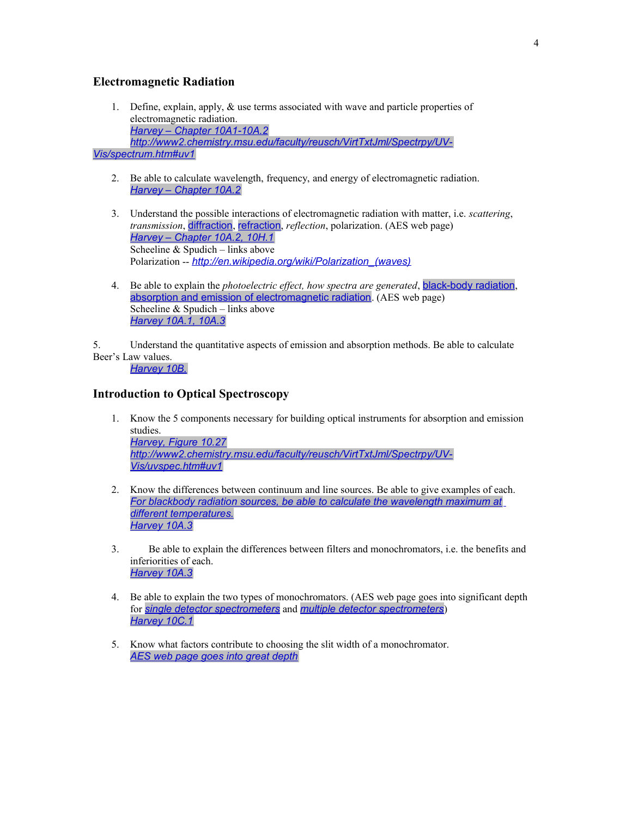#### <span id="page-3-1"></span>**Electromagnetic Radiation**

- 1. Define, explain, apply, & use terms associated with wave and particle properties of electromagnetic radiation. *[Harvey – Chapter 10A1-10A.2](http://web.me.com/dtharvey1213/Analytical_Chemistry_2.0/Text_Files_files/Chapter10.pdf) [http://www2.chemistry.msu.edu/faculty/reusch/VirtTxtJml/Spectrpy/UV-](http://www2.chemistry.msu.edu/faculty/reusch/VirtTxtJml/Spectrpy/UV-Vis/spectrum.htm#uv1)[Vis/spectrum.htm#uv1](http://www2.chemistry.msu.edu/faculty/reusch/VirtTxtJml/Spectrpy/UV-Vis/spectrum.htm#uv1)*
	- 2. Be able to calculate wavelength, frequency, and energy of electromagnetic radiation. *[Harvey – Chapter 10A.2](http://web.me.com/dtharvey1213/Analytical_Chemistry_2.0/Text_Files_files/Chapter10.pdf)*
	- 3. Understand the possible interactions of electromagnetic radiation with matter, i.e. *scattering*, *transmission*, [diffraction](http://scheeline.scs.uiuc.edu/atomic_spectroscopy/S-Diffraction_gratings.html), [refraction](http://scheeline.scs.uiuc.edu/atomic_spectroscopy/HT-Energy-Refraction.html), *reflection*, polarization. (AES web page) *[Harvey – Chapter 10A.2, 10H.1](http://web.me.com/dtharvey1213/Analytical_Chemistry_2.0/Text_Files_files/Chapter10.pdf)* Scheeline & Spudich – links above Polarization -- *[http://en.wikipedia.org/wiki/Polarization\\_\(waves\)](http://en.wikipedia.org/wiki/Polarization_(waves))*
	- 4. Be able to explain the *photoelectric effect, how spectra are generated*, [black-body radiation](http://scheeline.scs.uiuc.edu/atomic_spectroscopy/HT-Blackbody_Radiation.html), [absorption and emission of electromagnetic radiation](http://scheeline.scs.uiuc.edu/atomic_spectroscopy/HT-Energy-level_diagrams.html). (AES web page) Scheeline & Spudich – links above *[Harvey 10A.1, 10A.3](http://web.me.com/dtharvey1213/Analytical_Chemistry_2.0/Text_Files_files/Chapter10.pdf)*

5. Understand the quantitative aspects of emission and absorption methods. Be able to calculate Beer's Law values.

*[Harvey 10B.](http://web.me.com/dtharvey1213/Analytical_Chemistry_2.0/Text_Files_files/Chapter10.pdf)*

#### <span id="page-3-0"></span>**Introduction to Optical Spectroscopy**

- 1. Know the 5 components necessary for building optical instruments for absorption and emission studies. *[Harvey, Figure 10.27](http://fs6.depauw.edu:50080/~harvey/eText%20Project/pdf%20file/Chapter10.pdf) [http://www2.chemistry.msu.edu/faculty/reusch/VirtTxtJml/Spectrpy/UV-](http://www2.chemistry.msu.edu/faculty/reusch/VirtTxtJml/Spectrpy/UV-Vis/uvspec.htm#uv1)[Vis/uvspec.htm#uv1](http://www2.chemistry.msu.edu/faculty/reusch/VirtTxtJml/Spectrpy/UV-Vis/uvspec.htm#uv1)*
- 2. Know the differences between continuum and line sources. Be able to give examples of each. *[For blackbody radiation sources, be able to calculate the wavelength maximum at](http://scheeline.scs.uiuc.edu/atomic_spectroscopy/BbRadiation.html) [different temperatures.](http://scheeline.scs.uiuc.edu/atomic_spectroscopy/BbRadiation.html) [Harvey 10A.3](http://web.me.com/dtharvey1213/Analytical_Chemistry_2.0/Text_Files_files/Chapter10.pdf)*
- 3. Be able to explain the differences between filters and monochromators, i.e. the benefits and inferiorities of each. *[Harvey 10A.3](http://web.me.com/dtharvey1213/Analytical_Chemistry_2.0/Text_Files_files/Chapter10.pdf)*
- 4. Be able to explain the two types of monochromators. (AES web page goes into significant depth for *[single detector spectrometers](http://scheeline.scs.uiuc.edu/atomic_spectroscopy/S-optical-single-grating_single-detector.html)* and *[multiple detector spectrometers](http://scheeline.scs.uiuc.edu/atomic_spectroscopy/S-optical-concave-grating_multiple-detector.html)*) *[Harvey 10C.1](http://web.me.com/dtharvey1213/Analytical_Chemistry_2.0/Text_Files_files/Chapter10.pdf)*
- 5. Know what factors contribute to choosing the slit width of a monochromator. *[AES web page goes into great depth](http://scheeline.scs.uiuc.edu/atomic_spectroscopy/S-Dispersion-Resolution.html)*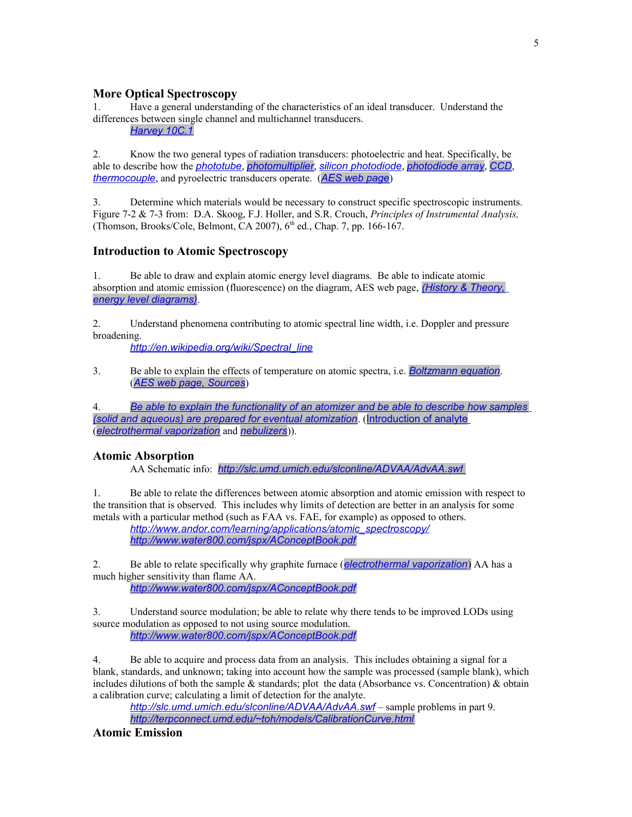#### <span id="page-4-3"></span>**More Optical Spectroscopy**

1. Have a general understanding of the characteristics of an ideal transducer. Understand the differences between single channel and multichannel transducers.

*[Harvey 10C.1](http://web.me.com/dtharvey1213/Analytical_Chemistry_2.0/Text_Files_files/Chapter10.pdf)*

2. Know the two general types of radiation transducers: photoelectric and heat. Specifically, be able to describe how the *[phototube](http://sales.hamamatsu.com/assets/pdf/catsandguides/Phototubes_TPT1001E07.pdf)*, *[photomultiplier](http://scheeline.scs.uiuc.edu/atomic_spectroscopy/S-PMT.html)*, *[silicon photodiode](http://sales.hamamatsu.com/index.php?id=13166815)*, *[photodiode array](http://scheeline.scs.uiuc.edu/atomic_spectroscopy/S-Array_Detectors.html)*, *[CCD](http://scheeline.scs.uiuc.edu/atomic_spectroscopy/S-CCArrays.html)*, *[thermocouple](http://www.omega.com/prodinfo/thermocouples.html)*, and pyroelectric transducers operate. (*[AES web page](http://scheeline.scs.uiuc.edu/atomic_spectroscopy/)*)

3. Determine which materials would be necessary to construct specific spectroscopic instruments. Figure 7-2 & 7-3 from: D.A. Skoog, F.J. Holler, and S.R. Crouch, *Principles of Instrumental Analysis,* (Thomson, Brooks/Cole, Belmont, CA 2007),  $6<sup>th</sup>$  ed., Chap. 7, pp. 166-167.

#### <span id="page-4-2"></span>**Introduction to Atomic Spectroscopy**

1. Be able to draw and explain atomic energy level diagrams. Be able to indicate atomic absorption and atomic emission (fluorescence) on the diagram, AES web page, *[\(History & Theory,](http://scheeline.scs.uiuc.edu/atomic_spectroscopy/HT-Energy-level_diagrams.html) [energy level diagrams\)](http://scheeline.scs.uiuc.edu/atomic_spectroscopy/HT-Energy-level_diagrams.html)*.

2. Understand phenomena contributing to atomic spectral line width, i.e. Doppler and pressure broadening.

*[http://en.wikipedia.org/wiki/Spectral\\_line](http://en.wikipedia.org/wiki/Spectral_line)*

3. Be able to explain the effects of temperature on atomic spectra, i.e. *[Boltzmann equation](http://scheeline.scs.uiuc.edu/atomic_spectroscopy/HT-Energy-level_diagrams.html)*. (*[AES web page, Sources](http://scheeline.scs.uiuc.edu/atomic_spectroscopy/sources.html)*)

4. *[Be able to explain the functionality of an atomizer and be able to describe how samples](http://scheeline.scs.uiuc.edu/atomic_spectroscopy/what-happens.html) [\(solid and aqueous\) are prepared for eventual atomization](http://scheeline.scs.uiuc.edu/atomic_spectroscopy/what-happens.html)*. ([Introduction of analyte](http://scheeline.scs.uiuc.edu/atomic_spectroscopy/what-happens.html) (*[electrothermal vaporization](http://scheeline.scs.uiuc.edu/atomic_spectroscopy/solid-introduction.html)* and *[nebulizers](http://scheeline.scs.uiuc.edu/atomic_spectroscopy/liquid-introduction.html)*)).

#### <span id="page-4-1"></span>**Atomic Absorption**

AA Schematic info: *<http://slc.umd.umich.edu/slconline/ADVAA/AdvAA.swf>*

1. Be able to relate the differences between atomic absorption and atomic emission with respect to the transition that is observed. This includes why limits of detection are better in an analysis for some metals with a particular method (such as FAA vs. FAE, for example) as opposed to others.

*[http://www.andor.com/learning/applications/atomic\\_spectroscopy/](http://www.andor.com/learning/applications/atomic_spectroscopy/) <http://www.water800.com/jspx/AConceptBook.pdf>*

2. Be able to relate specifically why graphite furnace (*[electrothermal vaporization](http://scheeline.scs.uiuc.edu/atomic_spectroscopy/solid-introduction.html)*) AA has a much higher sensitivity than flame AA.

*<http://www.water800.com/jspx/AConceptBook.pdf>*

3. Understand source modulation; be able to relate why there tends to be improved LODs using source modulation as opposed to not using source modulation. *<http://www.water800.com/jspx/AConceptBook.pdf>*

4. Be able to acquire and process data from an analysis. This includes obtaining a signal for a blank, standards, and unknown; taking into account how the sample was processed (sample blank), which includes dilutions of both the sample  $\&$  standards; plot the data (Absorbance vs. Concentration)  $\&$  obtain a calibration curve; calculating a limit of detection for the analyte.

*<http://slc.umd.umich.edu/slconline/ADVAA/AdvAA.swf> –* sample problems in part 9. *<http://terpconnect.umd.edu/~toh/models/CalibrationCurve.html>*

#### <span id="page-4-0"></span>**Atomic Emission**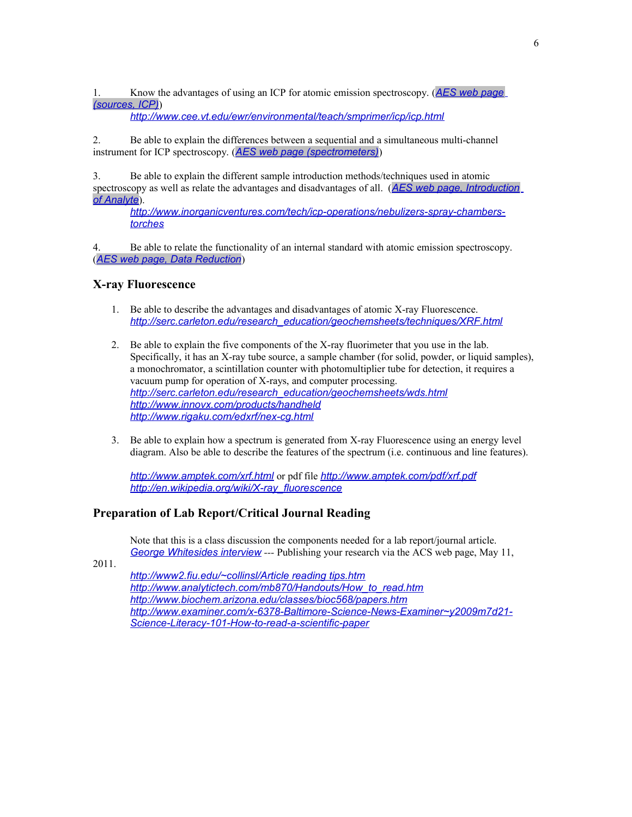1. Know the advantages of using an ICP for atomic emission spectroscopy. (*[AES web page](http://scheeline.scs.uiuc.edu/atomic_spectroscopy/ICP.html) [\(sources, ICP\)](http://scheeline.scs.uiuc.edu/atomic_spectroscopy/ICP.html)*)

*<http://www.cee.vt.edu/ewr/environmental/teach/smprimer/icp/icp.html>*

2. Be able to explain the differences between a sequential and a simultaneous multi-channel instrument for ICP spectroscopy. (*[AES web page \(spectrometers\)](http://scheeline.scs.uiuc.edu/atomic_spectroscopy/S-Introduction.html)*)

3. Be able to explain the different sample introduction methods/techniques used in atomic spectroscopy as well as relate the advantages and disadvantages of all. (*[AES web page, Introduction](http://scheeline.scs.uiuc.edu/atomic_spectroscopy/what-happens.html) [of Analyte](http://scheeline.scs.uiuc.edu/atomic_spectroscopy/what-happens.html)*).

*[http://www.inorganicventures.com/tech/icp-operations/nebulizers-spray-chambers](http://www.inorganicventures.com/tech/icp-operations/nebulizers-spray-chambers-torches)[torches](http://www.inorganicventures.com/tech/icp-operations/nebulizers-spray-chambers-torches)*

4. Be able to relate the functionality of an internal standard with atomic emission spectroscopy. (*[AES web page, Data Reduction](http://scheeline.scs.uiuc.edu/atomic_spectroscopy/data-Introduction_&_Background_Substraction.html)*)

#### <span id="page-5-2"></span>**X-ray Fluorescence**

- 1. Be able to describe the advantages and disadvantages of atomic X-ray Fluorescence. *[http://serc.carleton.edu/research\\_education/geochemsheets/techniques/XRF.html](http://serc.carleton.edu/research_education/geochemsheets/techniques/XRF.html)*
- 2. Be able to explain the five components of the X-ray fluorimeter that you use in the lab. Specifically, it has an X-ray tube source, a sample chamber (for solid, powder, or liquid samples), a monochromator, a scintillation counter with photomultiplier tube for detection, it requires a vacuum pump for operation of X-rays, and computer processing. *[http://serc.carleton.edu/research\\_education/geochemsheets/wds.html](http://serc.carleton.edu/research_education/geochemsheets/wds.html) <http://www.innovx.com/products/handheld> <http://www.rigaku.com/edxrf/nex-cg.html>*
- 3. Be able to explain how a spectrum is generated from X-ray Fluorescence using an energy level diagram. Also be able to describe the features of the spectrum (i.e. continuous and line features).

*<http://www.amptek.com/xrf.html>* or pdf file *<http://www.amptek.com/pdf/xrf.pdf> [http://en.wikipedia.org/wiki/X-ray\\_fluorescence](http://en.wikipedia.org/wiki/X-ray_fluorescence)*

#### <span id="page-5-1"></span>**Preparation of Lab Report/Critical Journal Reading**

Note that this is a class discussion the components needed for a lab report/journal article.  *[George Whites ides interview](http://pubs.acs.org/page/publish-research/episode-1.html) ---* Publishing your research via the ACS web page, May 11,

2011.

<span id="page-5-0"></span>*[http://www2.fiu.edu/~collinsl/Article reading tips.htm](http://www2.fiu.edu/~collinsl/Article%20reading%20tips.htm) [http://www.analytictech.com/mb870/Handouts/How\\_to\\_read.htm](http://www.analytictech.com/mb870/Handouts/How_to_read.htm) <http://www.biochem.arizona.edu/classes/bioc568/papers.htm> [http://www.examiner.com/x-6378-Baltimore-Science-News-Examiner~y2009m7d21-](http://www.examiner.com/x-6378-Baltimore-Science-News-Examiner~y2009m7d21-Science-Literacy-101-How-to-read-a-scientific-paper) [Science-Literacy-101-How-to-read-a-scientific-paper](http://www.examiner.com/x-6378-Baltimore-Science-News-Examiner~y2009m7d21-Science-Literacy-101-How-to-read-a-scientific-paper)*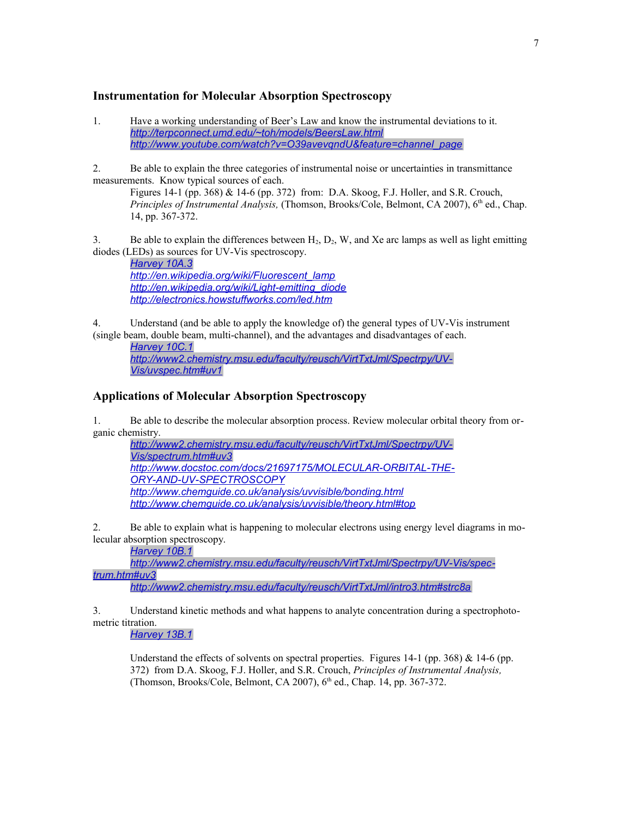#### **Instrumentation for Molecular Absorption Spectroscopy**

1. Have a working understanding of Beer's Law and know the instrumental deviations to it. *<http://terpconnect.umd.edu/~toh/models/BeersLaw.html> [http://www.youtube.com/watch?v=O39avevqndU&feature=channel\\_page](http://www.youtube.com/watch?v=O39avevqndU&feature=channel_page)*

2. Be able to explain the three categories of instrumental noise or uncertainties in transmittance measurements. Know typical sources of each.

Figures 14-1 (pp. 368) & 14-6 (pp. 372) from: D.A. Skoog, F.J. Holler, and S.R. Crouch, *Principles of Instrumental Analysis, (Thomson, Brooks/Cole, Belmont, CA 2007), 6<sup>th</sup> ed., Chap.* 14, pp. 367-372.

3. Be able to explain the differences between  $H_2$ ,  $D_2$ , W, and Xe arc lamps as well as light emitting diodes (LEDs) as sources for UV-Vis spectroscopy.

*[Harvey 10A.3](http://web.me.com/dtharvey1213/Analytical_Chemistry_2.0/Text_Files_files/Chapter10.pdf) [http://en.wikipedia.org/wiki/Fluorescent\\_lamp](http://en.wikipedia.org/wiki/Fluorescent_lamp) [http://en.wikipedia.org/wiki/Light-emitting\\_diode](http://en.wikipedia.org/wiki/Light-emitting_diode) <http://electronics.howstuffworks.com/led.htm>*

4. Understand (and be able to apply the knowledge of) the general types of UV-Vis instrument (single beam, double beam, multi-channel), and the advantages and disadvantages of each.

*[Harvey 10C.1](http://web.me.com/dtharvey1213/Analytical_Chemistry_2.0/Text_Files_files/Chapter10.pdf)*

*[http://www2.chemistry.msu.edu/faculty/reusch/VirtTxtJml/Spectrpy/UV-](http://www2.chemistry.msu.edu/faculty/reusch/VirtTxtJml/Spectrpy/UV-Vis/uvspec.htm#uv1)[Vis/uvspec.htm#uv1](http://www2.chemistry.msu.edu/faculty/reusch/VirtTxtJml/Spectrpy/UV-Vis/uvspec.htm#uv1)*

# <span id="page-6-0"></span>**Applications of Molecular Absorption Spectroscopy**

1. Be able to describe the molecular absorption process. Review molecular orbital theory from organic chemistry.

*[http://www2.chemistry.msu.edu/faculty/reusch/VirtTxtJml/Spectrpy/UV-](http://www2.chemistry.msu.edu/faculty/reusch/VirtTxtJml/Spectrpy/UV-Vis/spectrum.htm#uv3)[Vis/spectrum.htm#uv3](http://www2.chemistry.msu.edu/faculty/reusch/VirtTxtJml/Spectrpy/UV-Vis/spectrum.htm#uv3) [http://www.docstoc.com/docs/21697175/MOLECULAR-ORBITAL-THE-](http://www.docstoc.com/docs/21697175/MOLECULAR-ORBITAL-THEORY-AND-UV-SPECTROSCOPY)[ORY-AND-UV-SPECTROSCOPY](http://www.docstoc.com/docs/21697175/MOLECULAR-ORBITAL-THEORY-AND-UV-SPECTROSCOPY) <http://www.chemguide.co.uk/analysis/uvvisible/bonding.html> <http://www.chemguide.co.uk/analysis/uvvisible/theory.html#top>*

2. Be able to explain what is happening to molecular electrons using energy level diagrams in molecular absorption spectroscopy.

*[Harvey 10B.1](http://fs6.depauw.edu:50080/~harvey/eText%20Project/pdf%20file/Chapter10.pdf)*

*[http://www2.chemistry.msu.edu/faculty/reusch/VirtTxtJml/Spectrpy/UV-Vis/spec](http://www2.chemistry.msu.edu/faculty/reusch/VirtTxtJml/Spectrpy/UV-Vis/spectrum.htm#uv3)[trum.htm#uv3](http://www2.chemistry.msu.edu/faculty/reusch/VirtTxtJml/Spectrpy/UV-Vis/spectrum.htm#uv3)*

*<http://www2.chemistry.msu.edu/faculty/reusch/VirtTxtJml/intro3.htm#strc8a>*

3. Understand kinetic methods and what happens to analyte concentration during a spectrophotometric titration.

*[Harvey 13B.1](http://fs6.depauw.edu:50080/~harvey/eText%20Project/pdf%20file/Chapter13.pdf)*

Understand the effects of solvents on spectral properties. Figures 14-1 (pp. 368) & 14-6 (pp. 372) from D.A. Skoog, F.J. Holler, and S.R. Crouch, *Principles of Instrumental Analysis,* (Thomson, Brooks/Cole, Belmont, CA 2007),  $6<sup>th</sup>$  ed., Chap. 14, pp. 367-372.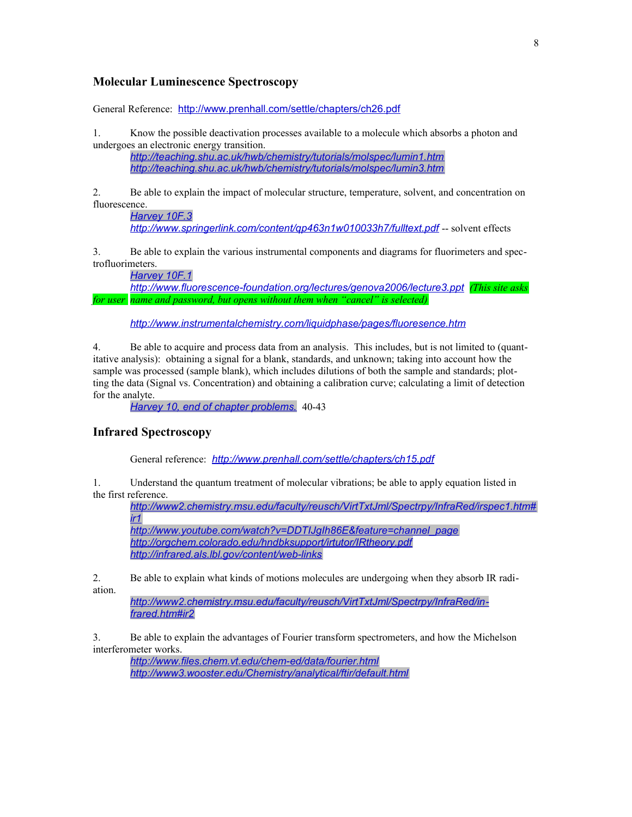# <span id="page-7-2"></span>**Molecular Luminescence Spectroscopy**

General Reference: <http://www.prenhall.com/settle/chapters/ch26.pdf>

1. Know the possible deactivation processes available to a molecule which absorbs a photon and undergoes an electronic energy transition.

*<http://teaching.shu.ac.uk/hwb/chemistry/tutorials/molspec/lumin1.htm> <http://teaching.shu.ac.uk/hwb/chemistry/tutorials/molspec/lumin3.htm>*

2. Be able to explain the impact of molecular structure, temperature, solvent, and concentration on fluorescence.

*[Harvey 10F.3](http://web.me.com/dtharvey1213/Analytical_Chemistry_2.0/Text_Files_files/Chapter10.pdf) <http://www.springerlink.com/content/qp463n1w010033h7/fulltext.pdf>* -- solvent effects

3. Be able to explain the various instrumental components and diagrams for fluorimeters and spectrofluorimeters.

*[Harvey 10F.1](http://web.me.com/dtharvey1213/Analytical_Chemistry_2.0/Text_Files_files/Chapter10.pdf)*

*<http://www.fluorescence-foundation.org/lectures/genova2006/lecture3.ppt> (This site asks for user name and password, but opens without them when "cancel" is selected)*

*<http://www.instrumentalchemistry.com/liquidphase/pages/fluoresence.htm>*

4. Be able to acquire and process data from an analysis. This includes, but is not limited to (quantitative analysis): obtaining a signal for a blank, standards, and unknown; taking into account how the sample was processed (sample blank), which includes dilutions of both the sample and standards; plotting the data (Signal vs. Concentration) and obtaining a calibration curve; calculating a limit of detection for the analyte.

*[Harvey 10, end of chapter problems.](http://web.me.com/dtharvey1213/Analytical_Chemistry_2.0/Text_Files_files/Chapter10.pdf)* 40-43

#### <span id="page-7-1"></span>**Infrared Spectroscopy**

General reference: *<http://www.prenhall.com/settle/chapters/ch15.pdf>*

1. Understand the quantum treatment of molecular vibrations; be able to apply equation listed in the first reference.

*[http://www2.chemistry.msu.edu/faculty/reusch/VirtTxtJml/Spectrpy/InfraRed/irspec1.htm#](http://www2.chemistry.msu.edu/faculty/reusch/VirtTxtJml/Spectrpy/InfraRed/irspec1.htm#ir1) [ir1](http://www2.chemistry.msu.edu/faculty/reusch/VirtTxtJml/Spectrpy/InfraRed/irspec1.htm#ir1) [http://www.youtube.com/watch?v=DDTIJgIh86E&feature=channel\\_page](http://www.youtube.com/watch?v=DDTIJgIh86E&feature=channel_page) <http://orgchem.colorado.edu/hndbksupport/irtutor/IRtheory.pdf>*

*<http://infrared.als.lbl.gov/content/web-links>*

2. Be able to explain what kinds of motions molecules are undergoing when they absorb IR radiation.

*[http://www2.chemistry.msu.edu/faculty/reusch/VirtTxtJml/Spectrpy/InfraRed/in](http://www2.chemistry.msu.edu/faculty/reusch/VirtTxtJml/Spectrpy/InfraRed/infrared.htm#ir2)[frared.htm#ir2](http://www2.chemistry.msu.edu/faculty/reusch/VirtTxtJml/Spectrpy/InfraRed/infrared.htm#ir2)*

3. Be able to explain the advantages of Fourier transform spectrometers, and how the Michelson interferometer works.

<span id="page-7-0"></span>*<http://www.files.chem.vt.edu/chem-ed/data/fourier.html> <http://www3.wooster.edu/Chemistry/analytical/ftir/default.html>*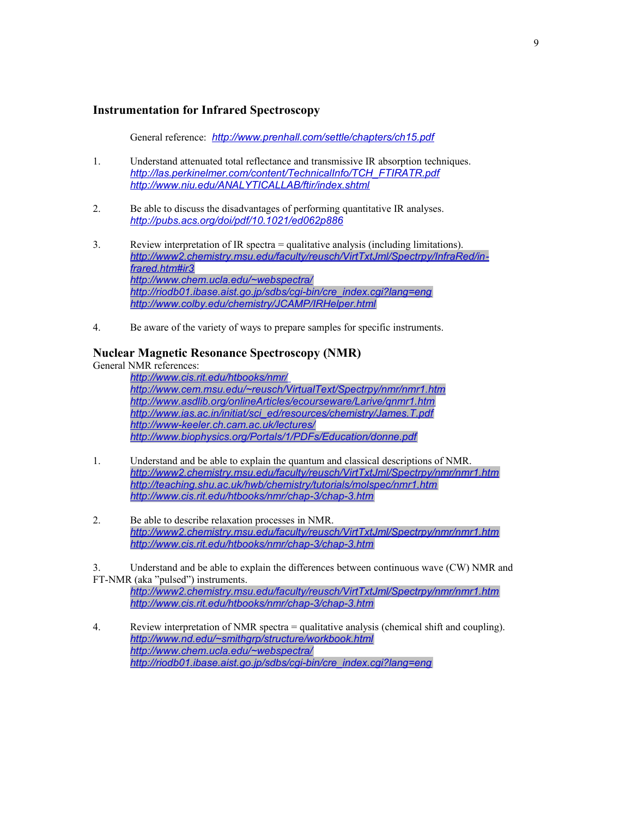# **Instrumentation for Infrared Spectroscopy**

General reference: *<http://www.prenhall.com/settle/chapters/ch15.pdf>*

- 1. Understand attenuated total reflectance and transmissive IR absorption techniques. *[http://las.perkinelmer.com/content/TechnicalInfo/TCH\\_FTIRATR.pdf](http://las.perkinelmer.com/content/TechnicalInfo/TCH_FTIRATR.pdf) <http://www.niu.edu/ANALYTICALLAB/ftir/index.shtml>*
- 2. Be able to discuss the disadvantages of performing quantitative IR analyses. *<http://pubs.acs.org/doi/pdf/10.1021/ed062p886>*
- 3. Review interpretation of IR spectra = qualitative analysis (including limitations). *[http://www2.chemistry.msu.edu/faculty/reusch/VirtTxtJml/Spectrpy/InfraRed/in](http://www2.chemistry.msu.edu/faculty/reusch/VirtTxtJml/Spectrpy/InfraRed/infrared.htm#ir3)[frared.htm#ir3](http://www2.chemistry.msu.edu/faculty/reusch/VirtTxtJml/Spectrpy/InfraRed/infrared.htm#ir3) <http://www.chem.ucla.edu/~webspectra/> [http://riodb01.ibase.aist.go.jp/sdbs/cgi-bin/cre\\_index.cgi?lang=eng](http://riodb01.ibase.aist.go.jp/sdbs/cgi-bin/cre_index.cgi?lang=eng) <http://www.colby.edu/chemistry/JCAMP/IRHelper.html>*
- 4. Be aware of the variety of ways to prepare samples for specific instruments.

#### <span id="page-8-0"></span>**Nuclear Magnetic Resonance Spectroscopy (NMR)**

General NMR references:

*<http://www.cis.rit.edu/htbooks/nmr/> <http://www.cem.msu.edu/~reusch/VirtualText/Spectrpy/nmr/nmr1.htm> <http://www.asdlib.org/onlineArticles/ecourseware/Larive/qnmr1.htm> [http://www.ias.ac.in/initiat/sci\\_ed/resources/chemistry/James.T.pdf](http://www.ias.ac.in/initiat/sci_ed/resources/chemistry/James.T.pdf) <http://www-keeler.ch.cam.ac.uk/lectures/> <http://www.biophysics.org/Portals/1/PDFs/Education/donne.pdf>*

- 1. Understand and be able to explain the quantum and classical descriptions of NMR. *<http://www2.chemistry.msu.edu/faculty/reusch/VirtTxtJml/Spectrpy/nmr/nmr1.htm> <http://teaching.shu.ac.uk/hwb/chemistry/tutorials/molspec/nmr1.htm> <http://www.cis.rit.edu/htbooks/nmr/chap-3/chap-3.htm>*
- 2. Be able to describe relaxation processes in NMR. *<http://www2.chemistry.msu.edu/faculty/reusch/VirtTxtJml/Spectrpy/nmr/nmr1.htm> <http://www.cis.rit.edu/htbooks/nmr/chap-3/chap-3.htm>*

3. Understand and be able to explain the differences between continuous wave (CW) NMR and FT-NMR (aka "pulsed") instruments.

*<http://www2.chemistry.msu.edu/faculty/reusch/VirtTxtJml/Spectrpy/nmr/nmr1.htm> <http://www.cis.rit.edu/htbooks/nmr/chap-3/chap-3.htm>*

4. Review interpretation of NMR spectra = qualitative analysis (chemical shift and coupling). *<http://www.nd.edu/~smithgrp/structure/workbook.html> <http://www.chem.ucla.edu/~webspectra/> [http://riodb01.ibase.aist.go.jp/sdbs/cgi-bin/cre\\_index.cgi?lang=eng](http://riodb01.ibase.aist.go.jp/sdbs/cgi-bin/cre_index.cgi?lang=eng)*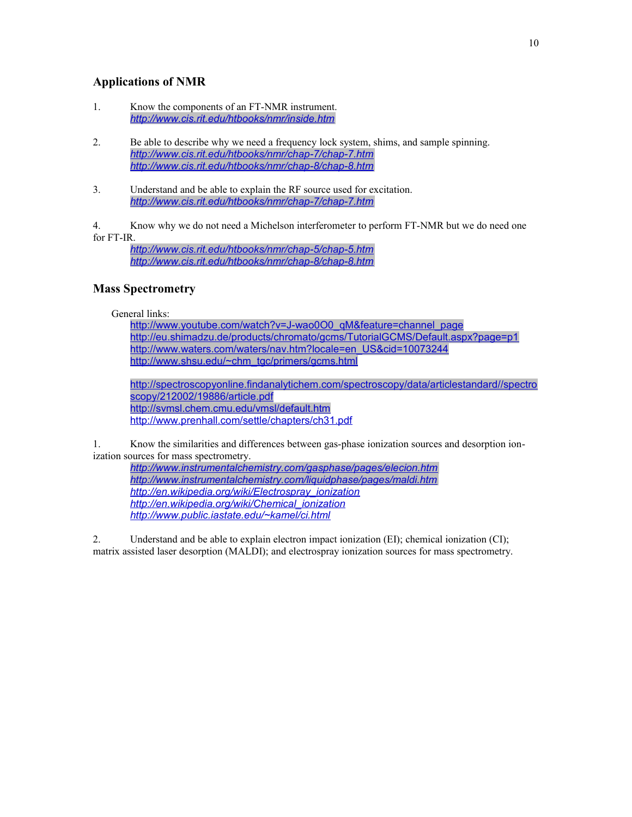# <span id="page-9-1"></span>**Applications of NMR**

- 1. Know the components of an FT-NMR instrument. *<http://www.cis.rit.edu/htbooks/nmr/inside.htm>*
- 2. Be able to describe why we need a frequency lock system, shims, and sample spinning. *<http://www.cis.rit.edu/htbooks/nmr/chap-7/chap-7.htm> <http://www.cis.rit.edu/htbooks/nmr/chap-8/chap-8.htm>*
- 3. Understand and be able to explain the RF source used for excitation. *<http://www.cis.rit.edu/htbooks/nmr/chap-7/chap-7.htm>*

4. Know why we do not need a Michelson interferometer to perform FT-NMR but we do need one for FT-IR.

*<http://www.cis.rit.edu/htbooks/nmr/chap-5/chap-5.htm> <http://www.cis.rit.edu/htbooks/nmr/chap-8/chap-8.htm>*

# <span id="page-9-0"></span>**Mass Spectrometry**

#### General links:

[http://www.youtube.com/watch?v=J-wao0O0\\_qM&feature=channel\\_page](http://www.youtube.com/watch?v=J-wao0O0_qM&feature=channel_page) <http://eu.shimadzu.de/products/chromato/gcms/TutorialGCMS/Default.aspx?page=p1> [http://www.waters.com/waters/nav.htm?locale=en\\_US&cid=10073244](http://www.waters.com/waters/nav.htm?locale=en_US&cid=10073244) [http://www.shsu.edu/~chm\\_tgc/primers/gcms.html](http://www.shsu.edu/~chm_tgc/primers/gcms.html)

[http://spectroscopyonline.findanalytichem.com/spectroscopy/data/articlestandard//spectro](http://spectroscopyonline.findanalytichem.com/spectroscopy/data/articlestandard//spectroscopy/212002/19886/article.pdf) [scopy/212002/19886/article.pdf](http://spectroscopyonline.findanalytichem.com/spectroscopy/data/articlestandard//spectroscopy/212002/19886/article.pdf) <http://svmsl.chem.cmu.edu/vmsl/default.htm> <http://www.prenhall.com/settle/chapters/ch31.pdf>

1. Know the similarities and differences between gas-phase ionization sources and desorption ionization sources for mass spectrometry.

*<http://www.instrumentalchemistry.com/gasphase/pages/elecion.htm> <http://www.instrumentalchemistry.com/liquidphase/pages/maldi.htm> [http://en.wikipedia.org/wiki/Electrospray\\_ionization](http://en.wikipedia.org/wiki/Electrospray_ionization) [http://en.wikipedia.org/wiki/Chemical\\_ionization](http://en.wikipedia.org/wiki/Chemical_ionization) <http://www.public.iastate.edu/~kamel/ci.html>*

2. Understand and be able to explain electron impact ionization (EI); chemical ionization (CI); matrix assisted laser desorption (MALDI); and electrospray ionization sources for mass spectrometry.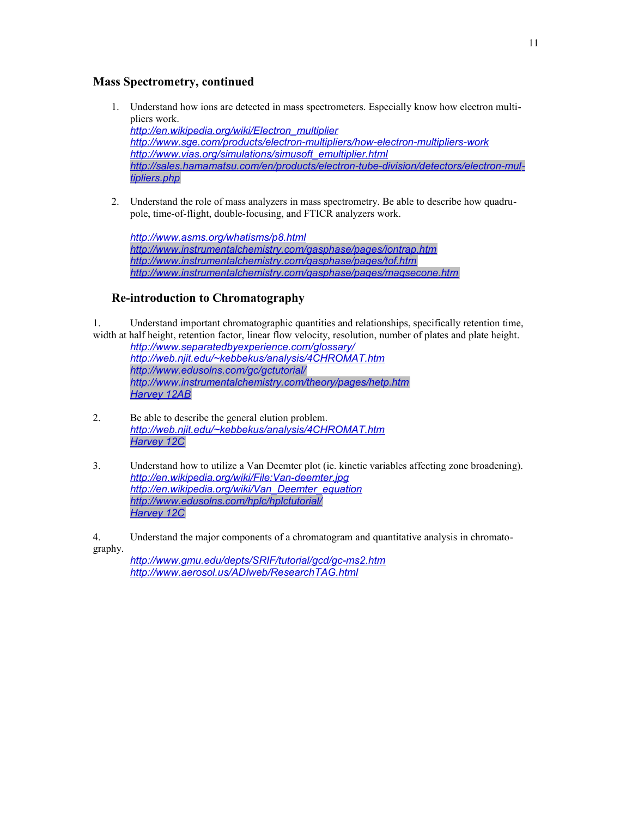# <span id="page-10-1"></span>**Mass Spectrometry, continued**

1. Understand how ions are detected in mass spectrometers. Especially know how electron multipliers work.

*[http://en.wikipedia.org/wiki/Electron\\_multiplier](http://en.wikipedia.org/wiki/Electron_multiplier) <http://www.sge.com/products/electron-multipliers/how-electron-multipliers-work> [http://www.vias.org/simulations/simusoft\\_emultiplier.html](http://www.vias.org/simulations/simusoft_emultiplier.html) [http://sales.hamamatsu.com/en/products/electron-tube-division/detectors/electron-mul](http://sales.hamamatsu.com/en/products/electron-tube-division/detectors/electron-multipliers.php)[tipliers.php](http://sales.hamamatsu.com/en/products/electron-tube-division/detectors/electron-multipliers.php)*

2. Understand the role of mass analyzers in mass spectrometry. Be able to describe how quadrupole, time-of-flight, double-focusing, and FTICR analyzers work.

*<http://www.asms.org/whatisms/p8.html> <http://www.instrumentalchemistry.com/gasphase/pages/iontrap.htm> <http://www.instrumentalchemistry.com/gasphase/pages/tof.htm> <http://www.instrumentalchemistry.com/gasphase/pages/magsecone.htm>*

# <span id="page-10-0"></span>**Re-introduction to Chromatography**

1. Understand important chromatographic quantities and relationships, specifically retention time, width at half height, retention factor, linear flow velocity, resolution, number of plates and plate height.

*<http://www.separatedbyexperience.com/glossary/> <http://web.njit.edu/~kebbekus/analysis/4CHROMAT.htm> <http://www.edusolns.com/gc/gctutorial/> <http://www.instrumentalchemistry.com/theory/pages/hetp.htm> [Harvey 12AB](http://web.me.com/dtharvey1213/Analytical_Chemistry_2.0/Text_Files_files/Chapter12.pdf)*

- 2. Be able to describe the general elution problem. *<http://web.njit.edu/~kebbekus/analysis/4CHROMAT.htm> [Harvey 12C](http://fs6.depauw.edu:50080/~harvey/eText%20Project/pdf%20file/Chapter12.pdf)*
- 3. Understand how to utilize a Van Deemter plot (ie. kinetic variables affecting zone broadening). *<http://en.wikipedia.org/wiki/File:Van-deemter.jpg> [http://en.wikipedia.org/wiki/Van\\_Deemter\\_equation](http://en.wikipedia.org/wiki/Van_Deemter_equation) <http://www.edusolns.com/hplc/hplctutorial/> [Harvey 12C](http://fs6.depauw.edu:50080/~harvey/eText%20Project/pdf%20file/Chapter12.pdf)*

4. Understand the major components of a chromatogram and quantitative analysis in chromatography.

*<http://www.gmu.edu/depts/SRIF/tutorial/gcd/gc-ms2.htm> <http://www.aerosol.us/ADIweb/ResearchTAG.html>*